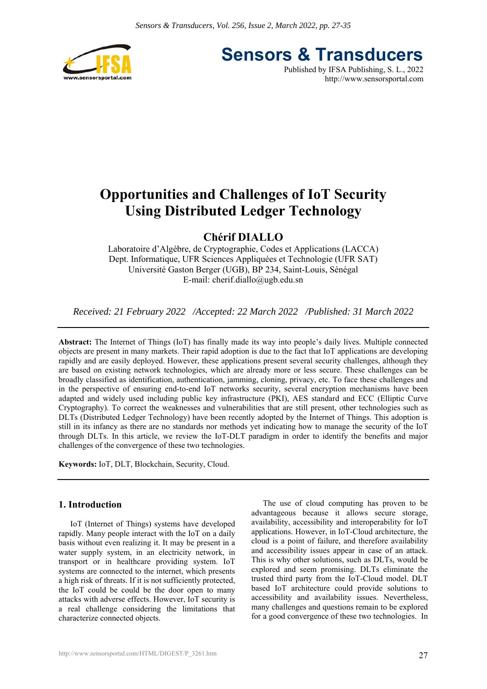

**Sensors & Transducers**

Published by IFSA Publishing, S. L., 2022 http://www.sensorsportal.com

# **Opportunities and Challenges of IoT Security Using Distributed Ledger Technology**

# **Chérif DIALLO**

Laboratoire d'Algèbre, de Cryptographie, Codes et Applications (LACCA) Dept. Informatique, UFR Sciences Appliquées et Technologie (UFR SAT) Université Gaston Berger (UGB), BP 234, Saint-Louis, Sénégal E-mail: cherif.diallo@ugb.edu.sn

*Received: 21 February 2022 /Accepted: 22 March 2022 /Published: 31 March 2022* 

**Abstract:** The Internet of Things (IoT) has finally made its way into people's daily lives. Multiple connected objects are present in many markets. Their rapid adoption is due to the fact that IoT applications are developing rapidly and are easily deployed. However, these applications present several security challenges, although they are based on existing network technologies, which are already more or less secure. These challenges can be broadly classified as identification, authentication, jamming, cloning, privacy, etc. To face these challenges and in the perspective of ensuring end-to-end IoT networks security, several encryption mechanisms have been adapted and widely used including public key infrastructure (PKI), AES standard and ECC (Elliptic Curve Cryptography). To correct the weaknesses and vulnerabilities that are still present, other technologies such as DLTs (Distributed Ledger Technology) have been recently adopted by the Internet of Things. This adoption is still in its infancy as there are no standards nor methods yet indicating how to manage the security of the IoT through DLTs. In this article, we review the IoT-DLT paradigm in order to identify the benefits and major challenges of the convergence of these two technologies.

**Keywords:** IoT, DLT, Blockchain, Security, Cloud.

# **1. Introduction**

IoT (Internet of Things) systems have developed rapidly. Many people interact with the IoT on a daily basis without even realizing it. It may be present in a water supply system, in an electricity network, in transport or in healthcare providing system. IoT systems are connected to the internet, which presents a high risk of threats. If it is not sufficiently protected, the IoT could be could be the door open to many attacks with adverse effects. However, IoT security is a real challenge considering the limitations that characterize connected objects.

The use of cloud computing has proven to be advantageous because it allows secure storage, availability, accessibility and interoperability for IoT applications. However, in IoT-Cloud architecture, the cloud is a point of failure, and therefore availability and accessibility issues appear in case of an attack. This is why other solutions, such as DLTs, would be explored and seem promising. DLTs eliminate the trusted third party from the IoT-Cloud model. DLT based IoT architecture could provide solutions to accessibility and availability issues. Nevertheless, many challenges and questions remain to be explored for a good convergence of these two technologies. In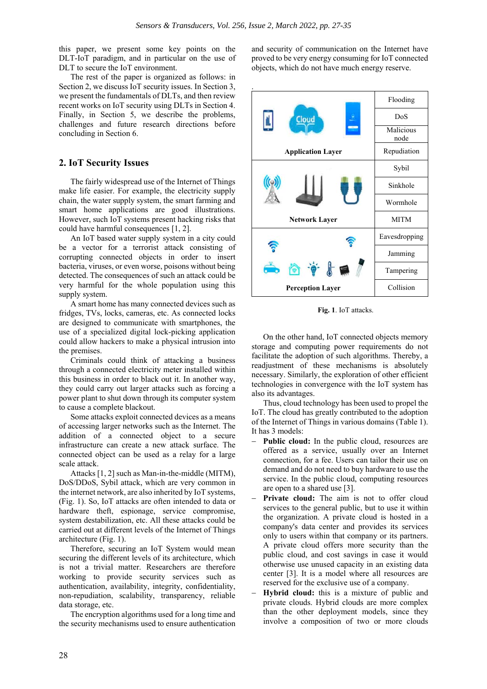this paper, we present some key points on the DLT-IoT paradigm, and in particular on the use of DLT to secure the IoT environment.

The rest of the paper is organized as follows: in Section 2, we discuss IoT security issues. In Section 3, we present the fundamentals of DLTs, and then review recent works on IoT security using DLTs in Section 4. Finally, in Section 5, we describe the problems, challenges and future research directions before concluding in Section 6.

## **2. IoT Security Issues**

The fairly widespread use of the Internet of Things make life easier. For example, the electricity supply chain, the water supply system, the smart farming and smart home applications are good illustrations. However, such IoT systems present hacking risks that could have harmful consequences [1, 2].

An IoT based water supply system in a city could be a vector for a terrorist attack consisting of corrupting connected objects in order to insert bacteria, viruses, or even worse, poisons without being detected. The consequences of such an attack could be very harmful for the whole population using this supply system.

A smart home has many connected devices such as fridges, TVs, locks, cameras, etc. As connected locks are designed to communicate with smartphones, the use of a specialized digital lock-picking application could allow hackers to make a physical intrusion into the premises.

Criminals could think of attacking a business through a connected electricity meter installed within this business in order to black out it. In another way, they could carry out larger attacks such as forcing a power plant to shut down through its computer system to cause a complete blackout.

Some attacks exploit connected devices as a means of accessing larger networks such as the Internet. The addition of a connected object to a secure infrastructure can create a new attack surface. The connected object can be used as a relay for a large scale attack.

Attacks [1, 2] such as Man-in-the-middle (MITM), DoS/DDoS, Sybil attack, which are very common in the internet network, are also inherited by IoT systems, (Fig. 1). So, IoT attacks are often intended to data or hardware theft, espionage, service compromise, system destabilization, etc. All these attacks could be carried out at different levels of the Internet of Things architecture (Fig. 1).

Therefore, securing an IoT System would mean securing the different levels of its architecture, which is not a trivial matter. Researchers are therefore working to provide security services such as authentication, availability, integrity, confidentiality, non-repudiation, scalability, transparency, reliable data storage, etc.

The encryption algorithms used for a long time and the security mechanisms used to ensure authentication and security of communication on the Internet have proved to be very energy consuming for IoT connected objects, which do not have much energy reserve.



**Fig. 1**. IoT attacks.

On the other hand, IoT connected objects memory storage and computing power requirements do not facilitate the adoption of such algorithms. Thereby, a readjustment of these mechanisms is absolutely necessary. Similarly, the exploration of other efficient technologies in convergence with the IoT system has also its advantages.

Thus, cloud technology has been used to propel the IoT. The cloud has greatly contributed to the adoption of the Internet of Things in various domains (Table 1). It has 3 models:

- **Public cloud:** In the public cloud, resources are offered as a service, usually over an Internet connection, for a fee. Users can tailor their use on demand and do not need to buy hardware to use the service. In the public cloud, computing resources are open to a shared use [3].
- **Private cloud:** The aim is not to offer cloud services to the general public, but to use it within the organization. A private cloud is hosted in a company's data center and provides its services only to users within that company or its partners. A private cloud offers more security than the public cloud, and cost savings in case it would otherwise use unused capacity in an existing data center [3]. It is a model where all resources are reserved for the exclusive use of a company.
- **Hybrid cloud:** this is a mixture of public and private clouds. Hybrid clouds are more complex than the other deployment models, since they involve a composition of two or more clouds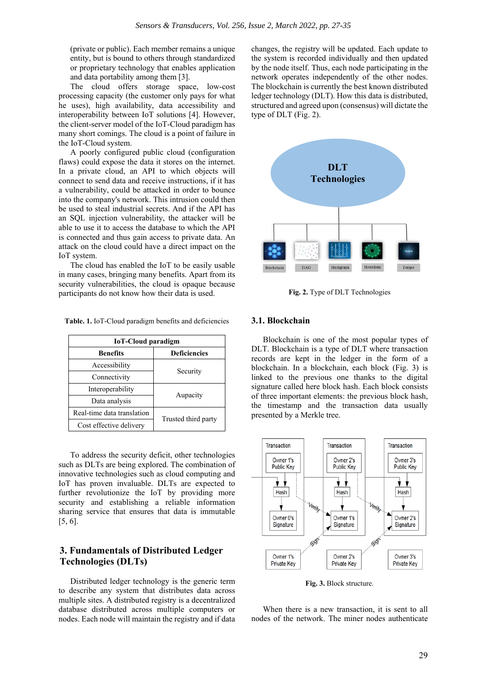(private or public). Each member remains a unique entity, but is bound to others through standardized or proprietary technology that enables application and data portability among them [3].

The cloud offers storage space, low-cost processing capacity (the customer only pays for what he uses), high availability, data accessibility and interoperability between IoT solutions [4]. However, the client-server model of the IoT-Cloud paradigm has many short comings. The cloud is a point of failure in the IoT-Cloud system.

A poorly configured public cloud (configuration flaws) could expose the data it stores on the internet. In a private cloud, an API to which objects will connect to send data and receive instructions, if it has a vulnerability, could be attacked in order to bounce into the company's network. This intrusion could then be used to steal industrial secrets. And if the API has an SQL injection vulnerability, the attacker will be able to use it to access the database to which the API is connected and thus gain access to private data. An attack on the cloud could have a direct impact on the IoT system.

The cloud has enabled the IoT to be easily usable in many cases, bringing many benefits. Apart from its security vulnerabilities, the cloud is opaque because participants do not know how their data is used.

| <b>IoT-Cloud paradigm</b>  |                     |  |  |  |
|----------------------------|---------------------|--|--|--|
| <b>Benefits</b>            | <b>Deficiencies</b> |  |  |  |
| Accessibility              | Security            |  |  |  |
| Connectivity               |                     |  |  |  |
| Interoperability           | Aupacity            |  |  |  |
| Data analysis              |                     |  |  |  |
| Real-time data translation | Trusted third party |  |  |  |
| Cost effective delivery    |                     |  |  |  |

**Table. 1.** IoT-Cloud paradigm benefits and deficiencies

To address the security deficit, other technologies such as DLTs are being explored. The combination of innovative technologies such as cloud computing and IoT has proven invaluable. DLTs are expected to further revolutionize the IoT by providing more security and establishing a reliable information sharing service that ensures that data is immutable [5, 6].

# **3. Fundamentals of Distributed Ledger Technologies (DLTs)**

Distributed ledger technology is the generic term to describe any system that distributes data across multiple sites. A distributed registry is a decentralized database distributed across multiple computers or nodes. Each node will maintain the registry and if data changes, the registry will be updated. Each update to the system is recorded individually and then updated by the node itself. Thus, each node participating in the network operates independently of the other nodes. The blockchain is currently the best known distributed ledger technology (DLT). How this data is distributed, structured and agreed upon (consensus) will dictate the type of DLT (Fig. 2).



**Fig. 2.** Type of DLT Technologies

#### **3.1. Blockchain**

Blockchain is one of the most popular types of DLT. Blockchain is a type of DLT where transaction records are kept in the ledger in the form of a blockchain. In a blockchain, each block (Fig. 3) is linked to the previous one thanks to the digital signature called here block hash. Each block consists of three important elements: the previous block hash, the timestamp and the transaction data usually presented by a Merkle tree.



**Fig. 3.** Block structure.

When there is a new transaction, it is sent to all nodes of the network. The miner nodes authenticate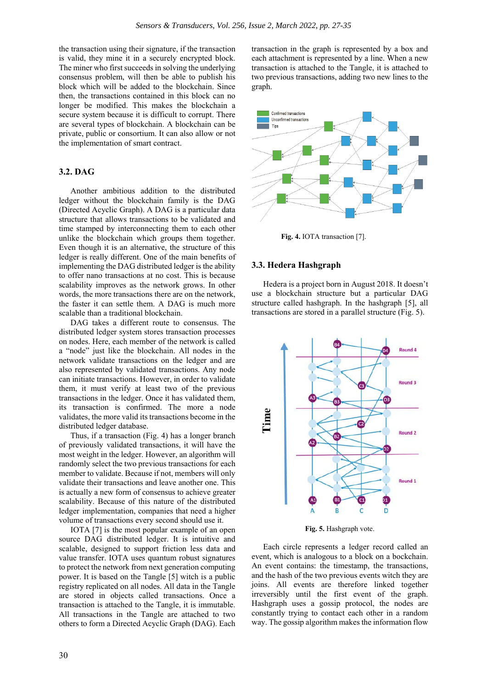the transaction using their signature, if the transaction is valid, they mine it in a securely encrypted block. The miner who first succeeds in solving the underlying consensus problem, will then be able to publish his block which will be added to the blockchain. Since then, the transactions contained in this block can no longer be modified. This makes the blockchain a secure system because it is difficult to corrupt. There are several types of blockchain. A blockchain can be private, public or consortium. It can also allow or not the implementation of smart contract.

#### **3.2. DAG**

Another ambitious addition to the distributed ledger without the blockchain family is the DAG (Directed Acyclic Graph). A DAG is a particular data structure that allows transactions to be validated and time stamped by interconnecting them to each other unlike the blockchain which groups them together. Even though it is an alternative, the structure of this ledger is really different. One of the main benefits of implementing the DAG distributed ledger is the ability to offer nano transactions at no cost. This is because scalability improves as the network grows. In other words, the more transactions there are on the network, the faster it can settle them. A DAG is much more scalable than a traditional blockchain.

DAG takes a different route to consensus. The distributed ledger system stores transaction processes on nodes. Here, each member of the network is called a "node" just like the blockchain. All nodes in the network validate transactions on the ledger and are also represented by validated transactions. Any node can initiate transactions. However, in order to validate them, it must verify at least two of the previous transactions in the ledger. Once it has validated them, its transaction is confirmed. The more a node validates, the more valid its transactions become in the distributed ledger database.

Thus, if a transaction (Fig. 4) has a longer branch of previously validated transactions, it will have the most weight in the ledger. However, an algorithm will randomly select the two previous transactions for each member to validate. Because if not, members will only validate their transactions and leave another one. This is actually a new form of consensus to achieve greater scalability. Because of this nature of the distributed ledger implementation, companies that need a higher volume of transactions every second should use it.

IOTA [7] is the most popular example of an open source DAG distributed ledger. It is intuitive and scalable, designed to support friction less data and value transfer. IOTA uses quantum robust signatures to protect the network from next generation computing power. It is based on the Tangle [5] witch is a public registry replicated on all nodes. All data in the Tangle are stored in objects called transactions. Once a transaction is attached to the Tangle, it is immutable. All transactions in the Tangle are attached to two others to form a Directed Acyclic Graph (DAG). Each

transaction in the graph is represented by a box and each attachment is represented by a line. When a new transaction is attached to the Tangle, it is attached to two previous transactions, adding two new lines to the graph.



**Fig. 4.** IOTA transaction [7].

#### **3.3. Hedera Hashgraph**

Hedera is a project born in August 2018. It doesn't use a blockchain structure but a particular DAG structure called hashgraph. In the hashgraph [5], all transactions are stored in a parallel structure (Fig. 5).



**Fig. 5.** Hashgraph vote.

Each circle represents a ledger record called an event, which is analogous to a block on a bockchain. An event contains: the timestamp, the transactions, and the hash of the two previous events witch they are joins. All events are therefore linked together irreversibly until the first event of the graph. Hashgraph uses a gossip protocol, the nodes are constantly trying to contact each other in a random way. The gossip algorithm makes the information flow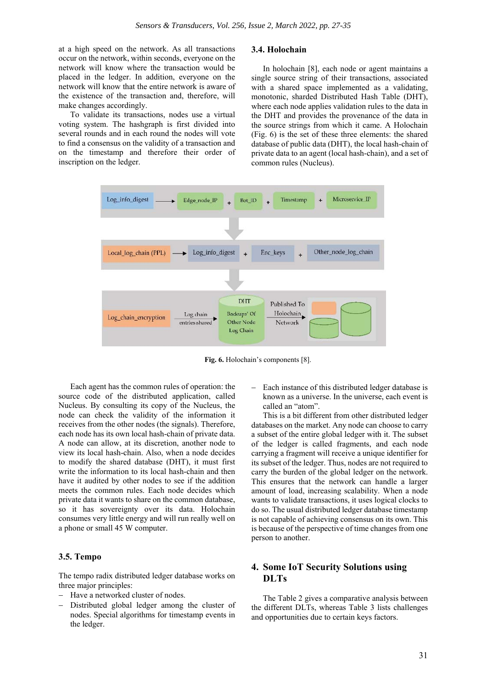at a high speed on the network. As all transactions occur on the network, within seconds, everyone on the network will know where the transaction would be placed in the ledger. In addition, everyone on the network will know that the entire network is aware of the existence of the transaction and, therefore, will make changes accordingly.

To validate its transactions, nodes use a virtual voting system. The hashgraph is first divided into several rounds and in each round the nodes will vote to find a consensus on the validity of a transaction and on the timestamp and therefore their order of inscription on the ledger.

#### **3.4. Holochain**

In holochain [8], each node or agent maintains a single source string of their transactions, associated with a shared space implemented as a validating, monotonic, sharded Distributed Hash Table (DHT), where each node applies validation rules to the data in the DHT and provides the provenance of the data in the source strings from which it came. A Holochain (Fig. 6) is the set of these three elements: the shared database of public data (DHT), the local hash-chain of private data to an agent (local hash-chain), and a set of common rules (Nucleus).



**Fig. 6.** Holochain's components [8].

Each agent has the common rules of operation: the source code of the distributed application, called Nucleus. By consulting its copy of the Nucleus, the node can check the validity of the information it receives from the other nodes (the signals). Therefore, each node has its own local hash-chain of private data. A node can allow, at its discretion, another node to view its local hash-chain. Also, when a node decides to modify the shared database (DHT), it must first write the information to its local hash-chain and then have it audited by other nodes to see if the addition meets the common rules. Each node decides which private data it wants to share on the common database, so it has sovereignty over its data. Holochain consumes very little energy and will run really well on a phone or small 45 W computer.

#### **3.5. Tempo**

The tempo radix distributed ledger database works on three major principles:

- Have a networked cluster of nodes.
- Distributed global ledger among the cluster of nodes. Special algorithms for timestamp events in the ledger.

 Each instance of this distributed ledger database is known as a universe. In the universe, each event is called an "atom".

This is a bit different from other distributed ledger databases on the market. Any node can choose to carry a subset of the entire global ledger with it. The subset of the ledger is called fragments, and each node carrying a fragment will receive a unique identifier for its subset of the ledger. Thus, nodes are not required to carry the burden of the global ledger on the network. This ensures that the network can handle a larger amount of load, increasing scalability. When a node wants to validate transactions, it uses logical clocks to do so. The usual distributed ledger database timestamp is not capable of achieving consensus on its own. This is because of the perspective of time changes from one person to another.

# **4. Some IoT Security Solutions using DLTs**

The Table 2 gives a comparative analysis between the different DLTs, whereas Table 3 lists challenges and opportunities due to certain keys factors.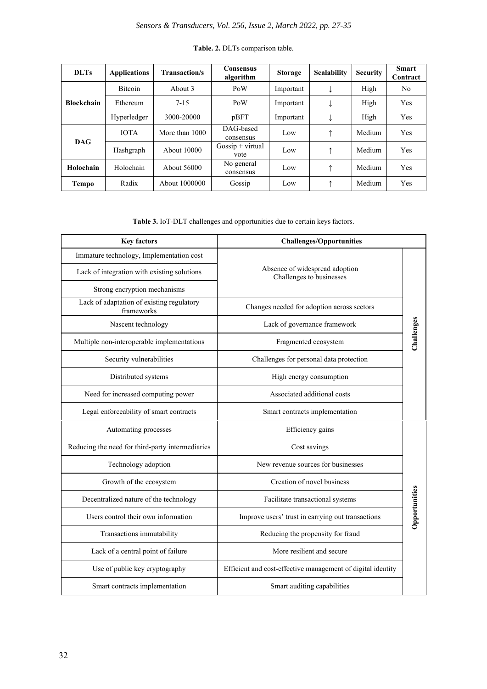| <b>DLTs</b>       | <b>Applications</b> | <b>Transaction/s</b> | <b>Consensus</b><br>algorithm | <b>Storage</b> | <b>Scalability</b> | <b>Security</b> | <b>Smart</b><br>Contract |
|-------------------|---------------------|----------------------|-------------------------------|----------------|--------------------|-----------------|--------------------------|
| <b>Blockchain</b> | <b>Bitcoin</b>      | About 3              | PoW                           | Important      | ↓                  | High            | No.                      |
|                   | Ethereum            | $7 - 15$             | PoW                           | Important      |                    | High            | <b>Yes</b>               |
|                   | Hyperledger         | 3000-20000           | pBFT                          | Important      |                    | High            | <b>Yes</b>               |
| <b>DAG</b>        | <b>IOTA</b>         | More than 1000       | DAG-based<br>consensus        | Low            | ↑                  | Medium          | Yes                      |
|                   | Hashgraph           | About 10000          | $Gossip + virtual$<br>vote    | Low            | ↑                  | Medium          | <b>Yes</b>               |
| Holochain         | Holochain           | About 56000          | No general<br>consensus       | Low            | ↑                  | Medium          | Yes                      |
| <b>Tempo</b>      | Radix               | About 1000000        | Gossip                        | Low            |                    | Medium          | <b>Yes</b>               |

### **Table. 2.** DLTs comparison table.

**Table 3.** IoT-DLT challenges and opportunities due to certain keys factors.

| <b>Key factors</b>                                      | <b>Challenges/Opportunities</b>                             |               |
|---------------------------------------------------------|-------------------------------------------------------------|---------------|
| Immature technology, Implementation cost                | Absence of widespread adoption<br>Challenges to businesses  |               |
| Lack of integration with existing solutions             |                                                             |               |
| Strong encryption mechanisms                            |                                                             |               |
| Lack of adaptation of existing regulatory<br>frameworks | Changes needed for adoption across sectors                  |               |
| Nascent technology                                      | Lack of governance framework                                |               |
| Multiple non-interoperable implementations              | Fragmented ecosystem                                        | Challenges    |
| Security vulnerabilities                                | Challenges for personal data protection                     |               |
| Distributed systems                                     | High energy consumption                                     |               |
| Need for increased computing power                      | Associated additional costs                                 |               |
| Legal enforceability of smart contracts                 | Smart contracts implementation                              |               |
| Automating processes                                    | Efficiency gains                                            |               |
| Reducing the need for third-party intermediaries        | Cost savings                                                |               |
| Technology adoption                                     | New revenue sources for businesses                          |               |
| Growth of the ecosystem                                 | Creation of novel business                                  |               |
| Decentralized nature of the technology                  | Facilitate transactional systems                            | Opportunities |
| Users control their own information                     | Improve users' trust in carrying out transactions           |               |
| Transactions immutability                               | Reducing the propensity for fraud                           |               |
| Lack of a central point of failure                      | More resilient and secure                                   |               |
| Use of public key cryptography                          | Efficient and cost-effective management of digital identity |               |
| Smart contracts implementation                          | Smart auditing capabilities                                 |               |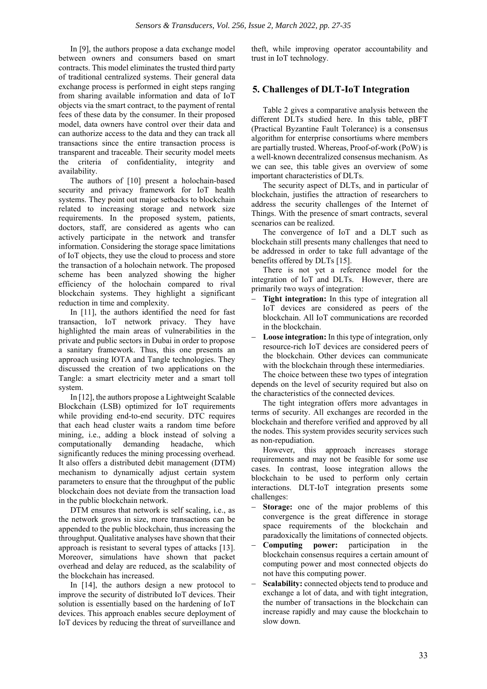In [9], the authors propose a data exchange model between owners and consumers based on smart contracts. This model eliminates the trusted third party of traditional centralized systems. Their general data exchange process is performed in eight steps ranging from sharing available information and data of IoT objects via the smart contract, to the payment of rental fees of these data by the consumer. In their proposed model, data owners have control over their data and can authorize access to the data and they can track all transactions since the entire transaction process is transparent and traceable. Their security model meets the criteria of confidentiality, integrity and availability.

The authors of [10] present a holochain-based security and privacy framework for IoT health systems. They point out major setbacks to blockchain related to increasing storage and network size requirements. In the proposed system, patients, doctors, staff, are considered as agents who can actively participate in the network and transfer information. Considering the storage space limitations of IoT objects, they use the cloud to process and store the transaction of a holochain network. The proposed scheme has been analyzed showing the higher efficiency of the holochain compared to rival blockchain systems. They highlight a significant reduction in time and complexity.

In [11], the authors identified the need for fast transaction, IoT network privacy. They have highlighted the main areas of vulnerabilities in the private and public sectors in Dubai in order to propose a sanitary framework. Thus, this one presents an approach using IOTA and Tangle technologies. They discussed the creation of two applications on the Tangle: a smart electricity meter and a smart toll system.

In [12], the authors propose a Lightweight Scalable Blockchain (LSB) optimized for IoT requirements while providing end-to-end security. DTC requires that each head cluster waits a random time before mining, i.e., adding a block instead of solving a computationally demanding headache, which significantly reduces the mining processing overhead. It also offers a distributed debit management (DTM) mechanism to dynamically adjust certain system parameters to ensure that the throughput of the public blockchain does not deviate from the transaction load in the public blockchain network.

DTM ensures that network is self scaling, i.e., as the network grows in size, more transactions can be appended to the public blockchain, thus increasing the throughput. Qualitative analyses have shown that their approach is resistant to several types of attacks [13]. Moreover, simulations have shown that packet overhead and delay are reduced, as the scalability of the blockchain has increased.

In [14], the authors design a new protocol to improve the security of distributed IoT devices. Their solution is essentially based on the hardening of IoT devices. This approach enables secure deployment of IoT devices by reducing the threat of surveillance and

theft, while improving operator accountability and trust in IoT technology.

# **5. Challenges of DLT-IoT Integration**

Table 2 gives a comparative analysis between the different DLTs studied here. In this table, pBFT (Practical Byzantine Fault Tolerance) is a consensus algorithm for enterprise consortiums where members are partially trusted. Whereas, Proof-of-work (PoW) is a well-known decentralized consensus mechanism. As we can see, this table gives an overview of some important characteristics of DLTs.

The security aspect of DLTs, and in particular of blockchain, justifies the attraction of researchers to address the security challenges of the Internet of Things. With the presence of smart contracts, several scenarios can be realized.

The convergence of IoT and a DLT such as blockchain still presents many challenges that need to be addressed in order to take full advantage of the benefits offered by DLTs [15].

There is not yet a reference model for the integration of IoT and DLTs. However, there are primarily two ways of integration:

- **Tight integration:** In this type of integration all IoT devices are considered as peers of the blockchain. All IoT communications are recorded in the blockchain.
- **Loose integration:** In this type of integration, only resource-rich IoT devices are considered peers of the blockchain. Other devices can communicate with the blockchain through these intermediaries.

The choice between these two types of integration depends on the level of security required but also on the characteristics of the connected devices.

The tight integration offers more advantages in terms of security. All exchanges are recorded in the blockchain and therefore verified and approved by all the nodes. This system provides security services such as non-repudiation.

However, this approach increases storage requirements and may not be feasible for some use cases. In contrast, loose integration allows the blockchain to be used to perform only certain interactions. DLT-IoT integration presents some challenges:

- **Storage:** one of the major problems of this convergence is the great difference in storage space requirements of the blockchain and paradoxically the limitations of connected objects.
- **Computing power:** participation in the blockchain consensus requires a certain amount of computing power and most connected objects do not have this computing power.
- **Scalability:** connected objects tend to produce and exchange a lot of data, and with tight integration, the number of transactions in the blockchain can increase rapidly and may cause the blockchain to slow down.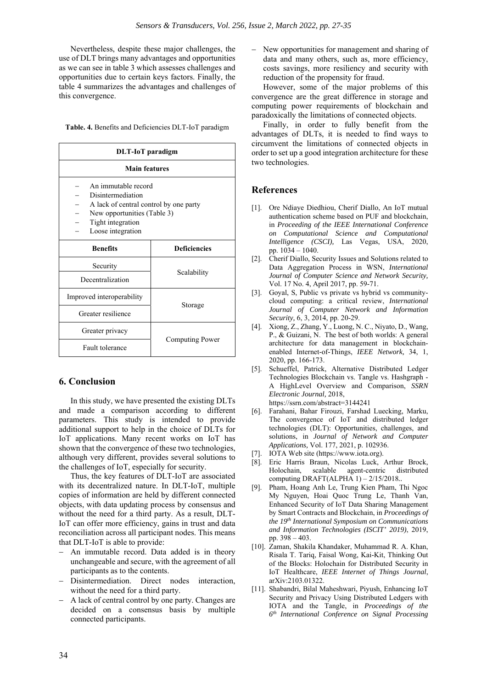Nevertheless, despite these major challenges, the use of DLT brings many advantages and opportunities as we can see in table 3 which assesses challenges and opportunities due to certain keys factors. Finally, the table 4 summarizes the advantages and challenges of this convergence.

**Table. 4.** Benefits and Deficiencies DLT-IoT paradigm

| <b>DLT-IoT</b> paradigm                                                                                                                                     |                     |  |  |  |
|-------------------------------------------------------------------------------------------------------------------------------------------------------------|---------------------|--|--|--|
| <b>Main features</b>                                                                                                                                        |                     |  |  |  |
| An immutable record<br>Disintermediation<br>A lack of central control by one party<br>New opportunities (Table 3)<br>Tight integration<br>Loose integration |                     |  |  |  |
| <b>Benefits</b>                                                                                                                                             | <b>Deficiencies</b> |  |  |  |
| Security                                                                                                                                                    |                     |  |  |  |
| Decentralization                                                                                                                                            | Scalability         |  |  |  |
| Improved interoperability                                                                                                                                   |                     |  |  |  |
| Greater resilience                                                                                                                                          | Storage             |  |  |  |
| Greater privacy                                                                                                                                             |                     |  |  |  |
| <b>Fault tolerance</b>                                                                                                                                      | Computing Power     |  |  |  |

## **6. Conclusion**

In this study, we have presented the existing DLTs and made a comparison according to different parameters. This study is intended to provide additional support to help in the choice of DLTs for IoT applications. Many recent works on IoT has shown that the convergence of these two technologies, although very different, provides several solutions to the challenges of IoT, especially for security.

Thus, the key features of DLT-IoT are associated with its decentralized nature. In DLT-IoT, multiple copies of information are held by different connected objects, with data updating process by consensus and without the need for a third party. As a result, DLT-IoT can offer more efficiency, gains in trust and data reconciliation across all participant nodes. This means that DLT-IoT is able to provide:

- An immutable record. Data added is in theory unchangeable and secure, with the agreement of all participants as to the contents.
- Disintermediation. Direct nodes interaction, without the need for a third party.
- A lack of central control by one party. Changes are decided on a consensus basis by multiple connected participants.

- New opportunities for management and sharing of data and many others, such as, more efficiency, costs savings, more resiliency and security with reduction of the propensity for fraud.

However, some of the major problems of this convergence are the great difference in storage and computing power requirements of blockchain and paradoxically the limitations of connected objects.

Finally, in order to fully benefit from the advantages of DLTs, it is needed to find ways to circumvent the limitations of connected objects in order to set up a good integration architecture for these two technologies.

#### **References**

- [1]. Ore Ndiaye Diedhiou, Cherif Diallo, An IoT mutual authentication scheme based on PUF and blockchain, in *Proceeding of the IEEE International Conference on Computational Science and Computational Intelligence (CSCI),* Las Vegas, USA, 2020, pp. 1034 – 1040.
- [2]. Cherif Diallo, Security Issues and Solutions related to Data Aggregation Process in WSN, *International Journal of Computer Science and Network Security,*  Vol. 17 No. 4, April 2017, pp. 59-71.
- [3]. Goyal, S, Public vs private vs hybrid vs communitycloud computing: a critical review, *International Journal of Computer Network and Information Security,* 6, 3, 2014, pp. 20-29.
- [4]. Xiong, Z., Zhang, Y., Luong, N. C., Niyato, D., Wang, P., & Guizani, N. The best of both worlds: A general architecture for data management in blockchainenabled Internet-of-Things, *IEEE Network,* 34, 1, 2020, pp. 166-173.
- [5]. Schueffel, Patrick, Alternative Distributed Ledger Technologies Blockchain vs. Tangle vs. Hashgraph - A HighLevel Overview and Comparison, *SSRN Electronic Journal,* 2018, https://ssrn.com/abstract=3144241
- [6]. Farahani, Bahar Firouzi, Farshad Luecking, Marku, The convergence of IoT and distributed ledger technologies (DLT): Opportunities, challenges, and solutions, in *Journal of Network and Computer Applications,* Vol. 177, 2021, p. 102936.
- [7]. IOTA Web site (https://www.iota.org).
- [8]. Eric Harris Braun, Nicolas Luck, Arthur Brock, Holochain, scalable agent-centric distributed computing DRAFT(ALPHA 1) – 2/15/2018*..*
- [9]. Pham, Hoang Anh Le, Trung Kien Pham, Thi Ngoc My Nguyen, Hoai Quoc Trung Le, Thanh Van, Enhanced Security of IoT Data Sharing Management by Smart Contracts and Blockchain, in *Proceedings of the 19th International Symposium on Communications and Information Technologies (ISCIT' 2019)*, 2019, pp. 398 – 403.
- [10]. Zaman, Shakila Khandaker, Muhammad R. A. Khan, Risala T. Tariq, Faisal Wong, Kai-Kit, Thinking Out of the Blocks: Holochain for Distributed Security in IoT Healthcare, *IEEE Internet of Things Journal*, arXiv:2103.01322.
- [11]. Shabandri, Bilal Maheshwari, Piyush, Enhancing IoT Security and Privacy Using Distributed Ledgers with IOTA and the Tangle, in *Proceedings of the 6th International Conference on Signal Processing*